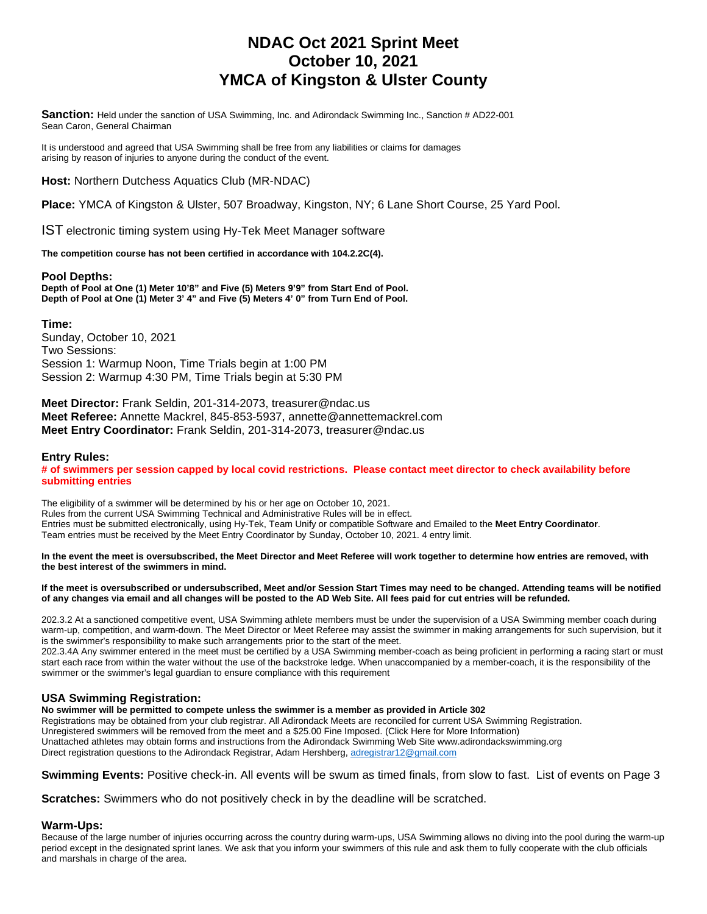## **NDAC Oct 2021 Sprint Meet October 10, 2021 YMCA of Kingston & Ulster County**

**Sanction:** Held under the sanction of USA Swimming, Inc. and Adirondack Swimming Inc., Sanction # AD22-001 Sean Caron, General Chairman

It is understood and agreed that USA Swimming shall be free from any liabilities or claims for damages arising by reason of injuries to anyone during the conduct of the event.

**Host:** Northern Dutchess Aquatics Club (MR-NDAC)

**Place:** YMCA of Kingston & Ulster, 507 Broadway, Kingston, NY; 6 Lane Short Course, 25 Yard Pool.

IST electronic timing system using Hy-Tek Meet Manager software

**The competition course has not been certified in accordance with 104.2.2C(4).** 

#### **Pool Depths:**

**Depth of Pool at One (1) Meter 10'8" and Five (5) Meters 9'9" from Start End of Pool. Depth of Pool at One (1) Meter 3' 4" and Five (5) Meters 4' 0" from Turn End of Pool.** 

**Time:**  Sunday, October 10, 2021 Two Sessions: Session 1: Warmup Noon, Time Trials begin at 1:00 PM Session 2: Warmup 4:30 PM, Time Trials begin at 5:30 PM

**Meet Director:** Frank Seldin, 201-314-2073, treasurer@ndac.us **Meet Referee:** Annette Mackrel, 845-853-5937, annette@annettemackrel.com **Meet Entry Coordinator:** Frank Seldin, 201-314-2073, treasurer@ndac.us

#### **Entry Rules:**

**# of swimmers per session capped by local covid restrictions. Please contact meet director to check availability before submitting entries**

The eligibility of a swimmer will be determined by his or her age on October 10, 2021. Rules from the current USA Swimming Technical and Administrative Rules will be in effect. Entries must be submitted electronically, using Hy-Tek, Team Unify or compatible Software and Emailed to the **Meet Entry Coordinator**. Team entries must be received by the Meet Entry Coordinator by Sunday, October 10, 2021. 4 entry limit.

**In the event the meet is oversubscribed, the Meet Director and Meet Referee will work together to determine how entries are removed, with the best interest of the swimmers in mind.** 

#### **If the meet is oversubscribed or undersubscribed, Meet and/or Session Start Times may need to be changed. Attending teams will be notified of any changes via email and all changes will be posted to the AD Web Site. All fees paid for cut entries will be refunded.**

202.3.2 At a sanctioned competitive event, USA Swimming athlete members must be under the supervision of a USA Swimming member coach during warm-up, competition, and warm-down. The Meet Director or Meet Referee may assist the swimmer in making arrangements for such supervision, but it is the swimmer's responsibility to make such arrangements prior to the start of the meet.

202.3.4A Any swimmer entered in the meet must be certified by a USA Swimming member-coach as being proficient in performing a racing start or must start each race from within the water without the use of the backstroke ledge. When unaccompanied by a member-coach, it is the responsibility of the swimmer or the swimmer's legal guardian to ensure compliance with this requirement

### **USA Swimming Registration:**

**No swimmer will be permitted to compete unless the swimmer is a member as provided in Article 302**  Registrations may be obtained from your club registrar. All Adirondack Meets are reconciled for current USA Swimming Registration.

Unregistered swimmers will be removed from the meet and a \$25.00 Fine Imposed. (Click Here for More Information) Unattached athletes may obtain forms and instructions from the Adirondack Swimming Web Site www.adirondackswimming.org Direct registration questions to the Adirondack Registrar, Adam Hershberg[, adregistrar12@gmail.com](mailto:adregistrar12@gmail.com)

**Swimming Events:** Positive check-in. All events will be swum as timed finals, from slow to fast. List of events on Page 3

**Scratches:** Swimmers who do not positively check in by the deadline will be scratched.

#### **Warm-Ups:**

Because of the large number of injuries occurring across the country during warm-ups, USA Swimming allows no diving into the pool during the warm-up period except in the designated sprint lanes. We ask that you inform your swimmers of this rule and ask them to fully cooperate with the club officials and marshals in charge of the area.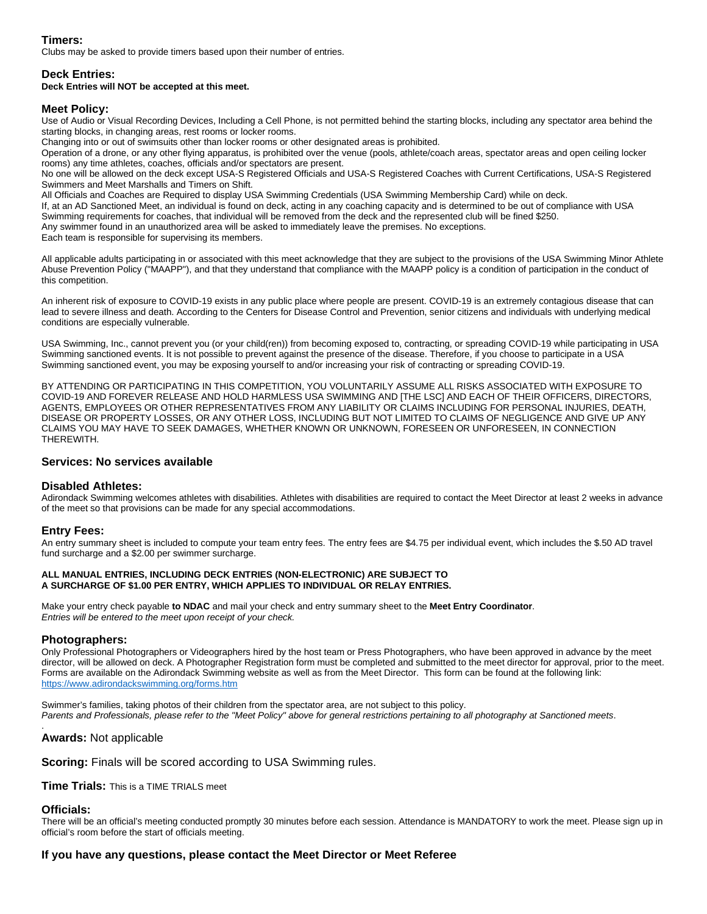### **Timers:**

Clubs may be asked to provide timers based upon their number of entries.

#### **Deck Entries:**

#### **Deck Entries will NOT be accepted at this meet.**

#### **Meet Policy:**

Use of Audio or Visual Recording Devices, Including a Cell Phone, is not permitted behind the starting blocks, including any spectator area behind the starting blocks, in changing areas, rest rooms or locker rooms.

Changing into or out of swimsuits other than locker rooms or other designated areas is prohibited.

Operation of a drone, or any other flying apparatus, is prohibited over the venue (pools, athlete/coach areas, spectator areas and open ceiling locker rooms) any time athletes, coaches, officials and/or spectators are present.

No one will be allowed on the deck except USA-S Registered Officials and USA-S Registered Coaches with Current Certifications, USA-S Registered Swimmers and Meet Marshalls and Timers on Shift.

All Officials and Coaches are Required to display USA Swimming Credentials (USA Swimming Membership Card) while on deck.

If, at an AD Sanctioned Meet, an individual is found on deck, acting in any coaching capacity and is determined to be out of compliance with USA

Swimming requirements for coaches, that individual will be removed from the deck and the represented club will be fined \$250.

Any swimmer found in an unauthorized area will be asked to immediately leave the premises. No exceptions.

Each team is responsible for supervising its members.

All applicable adults participating in or associated with this meet acknowledge that they are subject to the provisions of the USA Swimming Minor Athlete Abuse Prevention Policy ("MAAPP"), and that they understand that compliance with the MAAPP policy is a condition of participation in the conduct of this competition.

An inherent risk of exposure to COVID-19 exists in any public place where people are present. COVID-19 is an extremely contagious disease that can lead to severe illness and death. According to the Centers for Disease Control and Prevention, senior citizens and individuals with underlying medical conditions are especially vulnerable.

USA Swimming, Inc., cannot prevent you (or your child(ren)) from becoming exposed to, contracting, or spreading COVID-19 while participating in USA Swimming sanctioned events. It is not possible to prevent against the presence of the disease. Therefore, if you choose to participate in a USA Swimming sanctioned event, you may be exposing yourself to and/or increasing your risk of contracting or spreading COVID-19.

BY ATTENDING OR PARTICIPATING IN THIS COMPETITION, YOU VOLUNTARILY ASSUME ALL RISKS ASSOCIATED WITH EXPOSURE TO COVID-19 AND FOREVER RELEASE AND HOLD HARMLESS USA SWIMMING AND [THE LSC] AND EACH OF THEIR OFFICERS, DIRECTORS, AGENTS, EMPLOYEES OR OTHER REPRESENTATIVES FROM ANY LIABILITY OR CLAIMS INCLUDING FOR PERSONAL INJURIES, DEATH, DISEASE OR PROPERTY LOSSES, OR ANY OTHER LOSS, INCLUDING BUT NOT LIMITED TO CLAIMS OF NEGLIGENCE AND GIVE UP ANY CLAIMS YOU MAY HAVE TO SEEK DAMAGES, WHETHER KNOWN OR UNKNOWN, FORESEEN OR UNFORESEEN, IN CONNECTION THEREWITH.

#### **Services: No services available**

#### **Disabled Athletes:**

Adirondack Swimming welcomes athletes with disabilities. Athletes with disabilities are required to contact the Meet Director at least 2 weeks in advance of the meet so that provisions can be made for any special accommodations.

#### **Entry Fees:**

An entry summary sheet is included to compute your team entry fees. The entry fees are \$4.75 per individual event, which includes the \$.50 AD travel fund surcharge and a \$2.00 per swimmer surcharge.

#### **ALL MANUAL ENTRIES, INCLUDING DECK ENTRIES (NON-ELECTRONIC) ARE SUBJECT TO A SURCHARGE OF \$1.00 PER ENTRY, WHICH APPLIES TO INDIVIDUAL OR RELAY ENTRIES.**

Make your entry check payable **to NDAC** and mail your check and entry summary sheet to the **Meet Entry Coordinator**. *Entries will be entered to the meet upon receipt of your check.* 

#### **Photographers:**

Only Professional Photographers or Videographers hired by the host team or Press Photographers, who have been approved in advance by the meet director, will be allowed on deck. A Photographer Registration form must be completed and submitted to the meet director for approval, prior to the meet. Forms are available on the Adirondack Swimming website as well as from the Meet Director. This form can be found at the following link: <https://www.adirondackswimming.org/forms.htm>

Swimmer's families, taking photos of their children from the spectator area, are not subject to this policy.

*Parents and Professionals, please refer to the "Meet Policy" above for general restrictions pertaining to all photography at Sanctioned meets*.

**Awards:** Not applicable

**Scoring:** Finals will be scored according to USA Swimming rules.

**Time Trials:** This is a TIME TRIALS meet

#### **Officials:**

.

There will be an official's meeting conducted promptly 30 minutes before each session. Attendance is MANDATORY to work the meet. Please sign up in official's room before the start of officials meeting.

#### **If you have any questions, please contact the Meet Director or Meet Referee**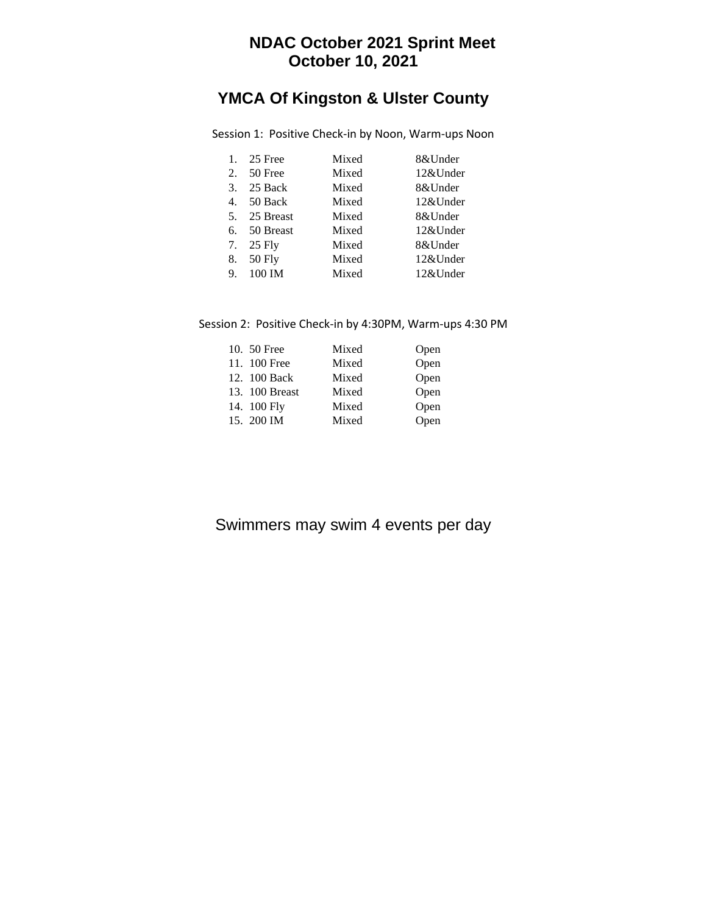## **NDAC October 2021 Sprint Meet October 10, 2021**

# **YMCA Of Kingston & Ulster County**

| 1. | 25 Free      | Mixed | 8&Under  |
|----|--------------|-------|----------|
| 2. | 50 Free      | Mixed | 12&Under |
| 3. | 25 Back      | Mixed | 8&Under  |
|    | 4. 50 Back   | Mixed | 12&Under |
|    | 5. 25 Breast | Mixed | 8&Under  |
|    | 6. 50 Breast | Mixed | 12&Under |
|    | 7. 25 Fly    | Mixed | 8&Under  |
| 8. | 50 Fly       | Mixed | 12&Under |
| 9. | 100 IM       | Mixed | 12&Under |

Session 1: Positive Check-in by Noon, Warm-ups Noon

## Session 2: Positive Check-in by 4:30PM, Warm-ups 4:30 PM

| 10. 50 Free    | Mixed | Open |
|----------------|-------|------|
| 11. 100 Free   | Mixed | Open |
| 12. 100 Back   | Mixed | Open |
| 13. 100 Breast | Mixed | Open |
| 14. 100 Fly    | Mixed | Open |
| 15. 200 IM     | Mixed | Open |

## Swimmers may swim 4 events per day